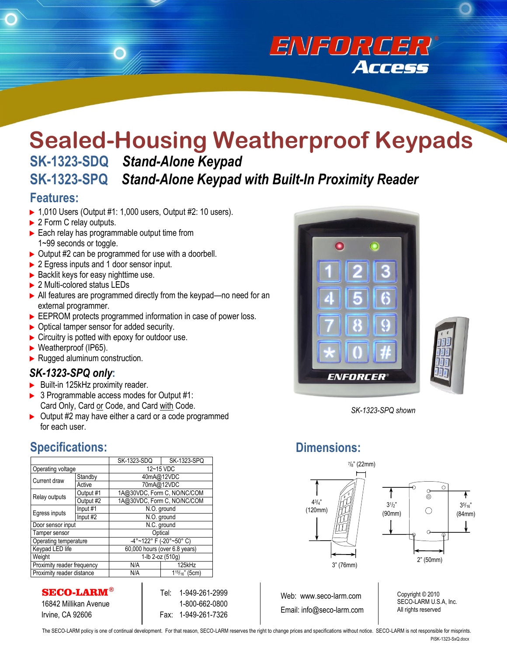# **Sealed-Housing Weatherproof Keypads SK-1323-SDQ** *Stand-Alone Keypad* **SK-1323-SPQ** *Stand-Alone Keypad with Built-In Proximity Reader*

#### **Features:**

- $\blacktriangleright$  1,010 Users (Output #1: 1,000 users, Output #2: 10 users).
- ▶ 2 Form C relay outputs.
- $\blacktriangleright$  Each relay has programmable output time from 1~99 seconds or toggle.
- $\triangleright$  Output #2 can be programmed for use with a doorbell.
- ▶ 2 Egress inputs and 1 door sensor input.
- $\blacktriangleright$  Backlit keys for easy nighttime use.
- ▶ 2 Multi-colored status LEDs
- All features are programmed directly from the keypad—no need for an external programmer.
- EEPROM protects programmed information in case of power loss.
- ▶ Optical tamper sensor for added security.
- $\blacktriangleright$  Circuitry is potted with epoxy for outdoor use.
- ▶ Weatherproof (IP65).
- $\blacktriangleright$  Rugged aluminum construction.

#### *SK-1323-SPQ only***:**

- Built-in 125kHz proximity reader.
- ▶ 3 Programmable access modes for Output #1: Card Only, Card or Code, and Card with Code.
- ▶ Output #2 may have either a card or a code programmed for each user.

#### **Specifications:**

|                            |           | SK-1323-SDQ                       | <b>SK-1323-SPQ</b>     |
|----------------------------|-----------|-----------------------------------|------------------------|
| Operating voltage          |           | 12~15 VDC                         |                        |
| Current draw               | Standby   | 40mA@12VDC                        |                        |
|                            | Active    | 70mA@12VDC                        |                        |
| Relay outputs              | Output #1 | 1A@30VDC, Form C, NO/NC/COM       |                        |
|                            | Output #2 | 1A@30VDC, Form C, NO/NC/COM       |                        |
| Egress inputs              | Input #1  | N.O. ground                       |                        |
|                            | Input #2  | N.O. ground                       |                        |
| Door sensor input          |           | N.C. ground                       |                        |
| Tamper sensor              |           | Optical                           |                        |
| Operating temperature      |           | $-4^{\circ}$ ~122° F (-20°~50° C) |                        |
| Keypad LED life            |           | 60,000 hours (over 6.8 years)     |                        |
| Weight                     |           | 1-lb 2-oz (510g)                  |                        |
| Proximity reader frequency |           | N/A                               | 125kHz                 |
| Proximity reader distance  |           | N/A                               | $1^{15}/_{16}$ " (5cm) |

SECO-LARM**®**

16842 Millikan Avenue Irvine, CA 92606

Tel: 1-949-261-2999 1-800-662-0800 1-949-261-7326 Fax:



**Sealed-Housing Weatherproof Keypads**

**Access** 



*SK-1323-SPQ shown*

### **Dimensions:**





Web: www.seco-larm.com Email: info@seco-larm.com Copyright © 2010 SECO-LARM U.S.A, Inc. All rights reserved

The SECO-LARM policy is one of continual development. For that reason, SECO-LARM reserves the right to change prices and specifications without notice. SECO-LARM is not responsible for misprints. PiSK-1323-SxQ.docx